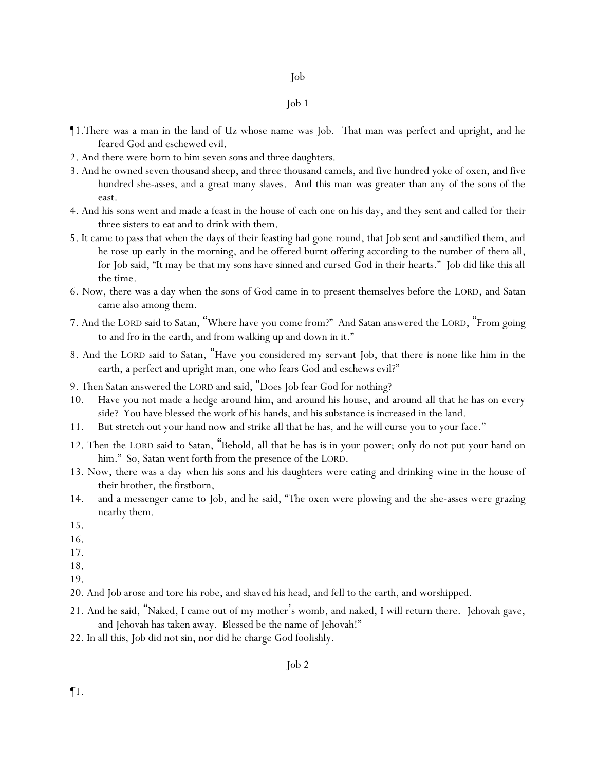- ¶1.There was a man in the land of Uz whose name was Job. That man was perfect and upright, and he feared God and eschewed evil.
- 2. And there were born to him seven sons and three daughters.
- 3. And he owned seven thousand sheep, and three thousand camels, and five hundred yoke of oxen, and five hundred she-asses, and a great many slaves. And this man was greater than any of the sons of the east.
- 4. And his sons went and made a feast in the house of each one on his day, and they sent and called for their three sisters to eat and to drink with them.
- 5. It came to pass that when the days of their feasting had gone round, that Job sent and sanctified them, and he rose up early in the morning, and he offered burnt offering according to the number of them all, for Job said, "It may be that my sons have sinned and cursed God in their hearts." Job did like this all the time.
- 6. Now, there was a day when the sons of God came in to present themselves before the LORD, and Satan came also among them.
- 7. And the LORD said to Satan, "Where have you come from?" And Satan answered the LORD, "From going to and fro in the earth, and from walking up and down in it."
- 8. And the LORD said to Satan, "Have you considered my servant Job, that there is none like him in the earth, a perfect and upright man, one who fears God and eschews evil?"
- 9. Then Satan answered the LORD and said, "Does Job fear God for nothing?
- 10. Have you not made a hedge around him, and around his house, and around all that he has on every side? You have blessed the work of his hands, and his substance is increased in the land.
- 11. But stretch out your hand now and strike all that he has, and he will curse you to your face."
- 12. Then the LORD said to Satan, "Behold, all that he has is in your power; only do not put your hand on him." So, Satan went forth from the presence of the LORD.
- 13. Now, there was a day when his sons and his daughters were eating and drinking wine in the house of their brother, the firstborn,
- 14. and a messenger came to Job, and he said, "The oxen were plowing and the she-asses were grazing nearby them.
- 15.
- 16.
- 17.
- 18.
- 19.
- 20. And Job arose and tore his robe, and shaved his head, and fell to the earth, and worshipped.
- 21. And he said, "Naked, I came out of my mother's womb, and naked, I will return there. Jehovah gave, and Jehovah has taken away. Blessed be the name of Jehovah!"
- 22. In all this, Job did not sin, nor did he charge God foolishly.

¶1.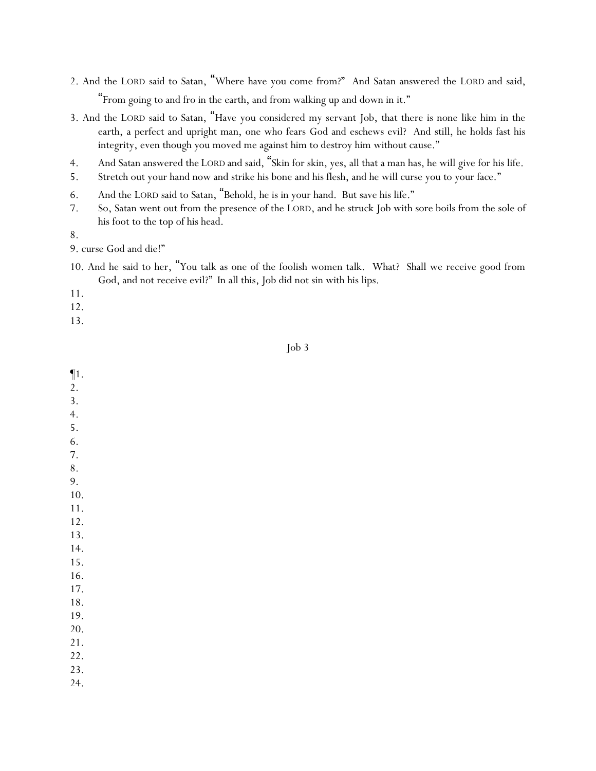- 2. And the LORD said to Satan, "Where have you come from?" And Satan answered the LORD and said, "From going to and fro in the earth, and from walking up and down in it."
- 3. And the LORD said to Satan, "Have you considered my servant Job, that there is none like him in the earth, a perfect and upright man, one who fears God and eschews evil? And still, he holds fast his integrity, even though you moved me against him to destroy him without cause."
- 4. And Satan answered the LORD and said, "Skin for skin, yes, all that a man has, he will give for his life.
- 5. Stretch out your hand now and strike his bone and his flesh, and he will curse you to your face."
- 6. And the LORD said to Satan, "Behold, he is in your hand. But save his life."
- 7. So, Satan went out from the presence of the LORD, and he struck Job with sore boils from the sole of his foot to the top of his head.

9. curse God and die!"

10. And he said to her, "You talk as one of the foolish women talk. What? Shall we receive good from God, and not receive evil?" In all this, Job did not sin with his lips.

11.

12.

13.

¶1. 2.

### Job 3

3. 4. 5. 6. 7. 8. 9. 10. 11. 12. 13. 14. 15. 16. 17. 18. 19. 20. 21. 22. 23. 24.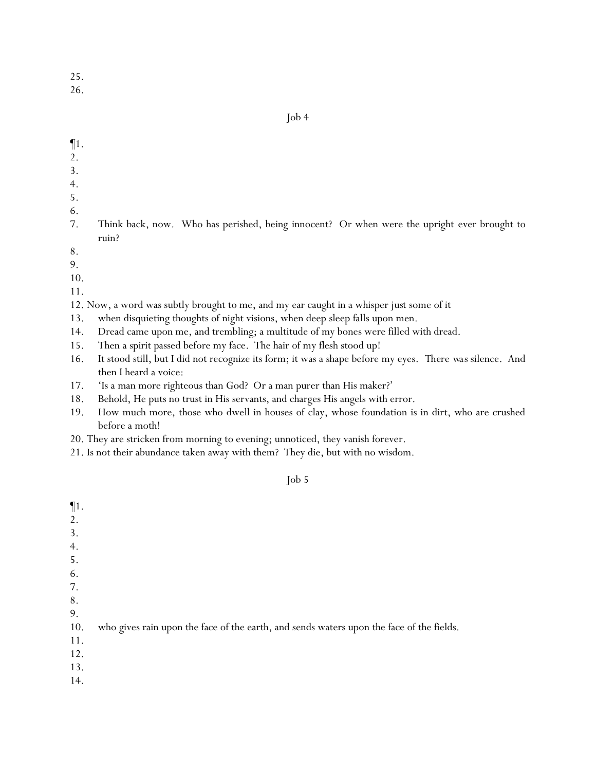26.

Job 4

- ¶1.
- 2.
- 3.
- 4.
- 5.
- 6.
- 7. Think back, now. Who has perished, being innocent? Or when were the upright ever brought to ruin?
- 8.
- 9.
- 10.

11.

- 12. Now, a word was subtly brought to me, and my ear caught in a whisper *just* some of it
- 13. when disquieting thoughts of night visions, when deep sleep falls upon men.
- 14. Dread came upon me, and trembling; a multitude of my bones were filled with dread.
- 15. Then a spirit passed before my face. The hair of my flesh stood up!
- 16. It stood still, but I did not recognize its form; it was a shape before my eyes. *There was* silence. And then I heard a voice:
- 17. 'Is a man more righteous than God? Or a man purer than His maker?'
- 18. Behold, He puts no trust in His servants, and charges His angels with error.
- 19. How much more, those who dwell in houses of clay, whose foundation is in dirt, who are crushed before a moth!
- 20. They are stricken from morning to evening; unnoticed, they vanish forever.
- 21. Is not their abundance taken away with them? They die, but with no wisdom.

| $\P1.$ |                                                                                          |
|--------|------------------------------------------------------------------------------------------|
| 2.     |                                                                                          |
| 3.     |                                                                                          |
| 4.     |                                                                                          |
| 5.     |                                                                                          |
| 6.     |                                                                                          |
| 7.     |                                                                                          |
| 8.     |                                                                                          |
| 9.     |                                                                                          |
| 10.    | who gives rain upon the face of the earth, and sends waters upon the face of the fields. |
| 11.    |                                                                                          |
| 12.    |                                                                                          |
| 13.    |                                                                                          |
| 14.    |                                                                                          |
|        |                                                                                          |
|        |                                                                                          |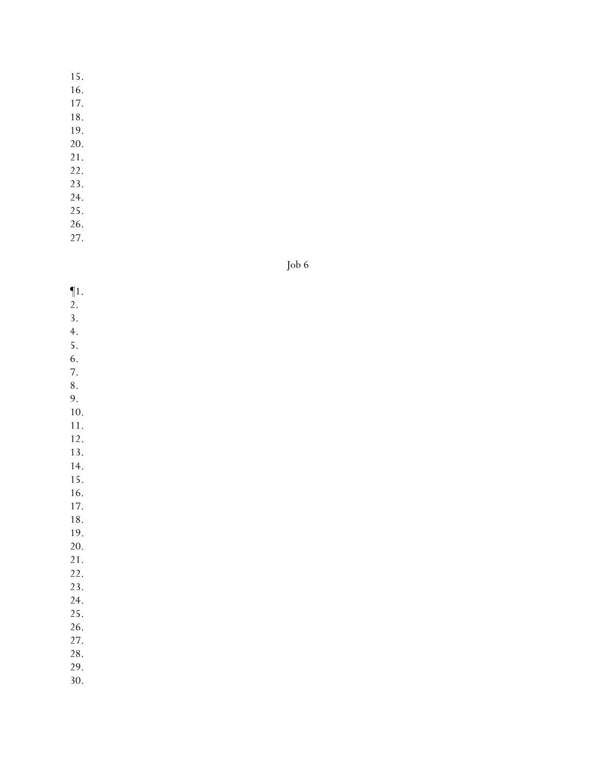16.

17.

- 18.
- 19.
- 20. 21.
- 22.
- 23.
- 24.
- 25.
- 26.
- 27.

Job 6

¶1. 2. 3. 4. 5. 6. 7. 8. 9. 10. 11. 12. 13. 14. 15. 16. 17. 18. 19. 20. 21. 22. 23. 24. 25. 26. 27. 28. 29. 30.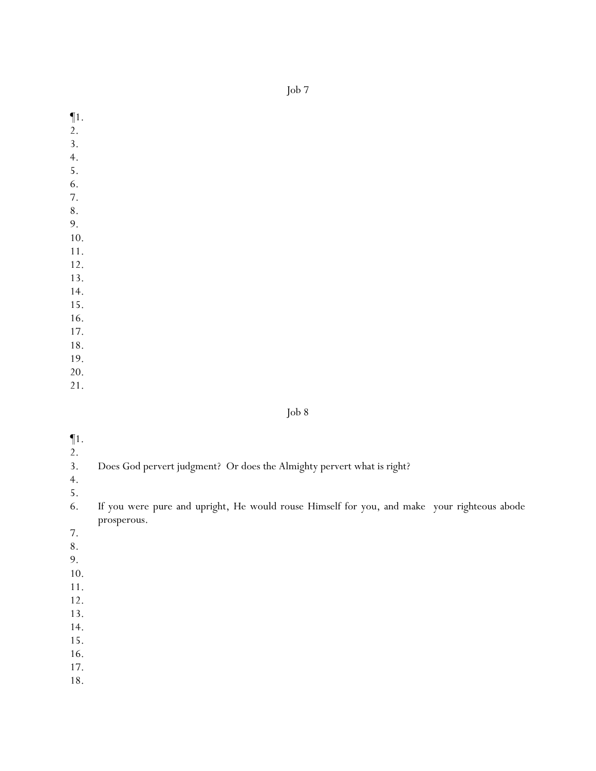¶1.

- 2.
- 3.
- 4.
- 5.
- 6.
- 7. 8.
- 9.
- 10.
- 11.
- 12.
- 13.

14.

15.

16.

- 17.
- 18. 19.

20.

21.

- ¶1.
- $\frac{2}{3}$ .
- Does God pervert judgment? Or does the Almighty pervert what is right?
- 4.
- 5.
- 6. If you were pure and upright, He would rouse Himself for you, and make your righteous abode prosperous.
- 7.
- 8.
- 9.
- 10.
- 11.
- 12.
- 13.
- 14.
- 15.
- 16.
- 17.
- 18.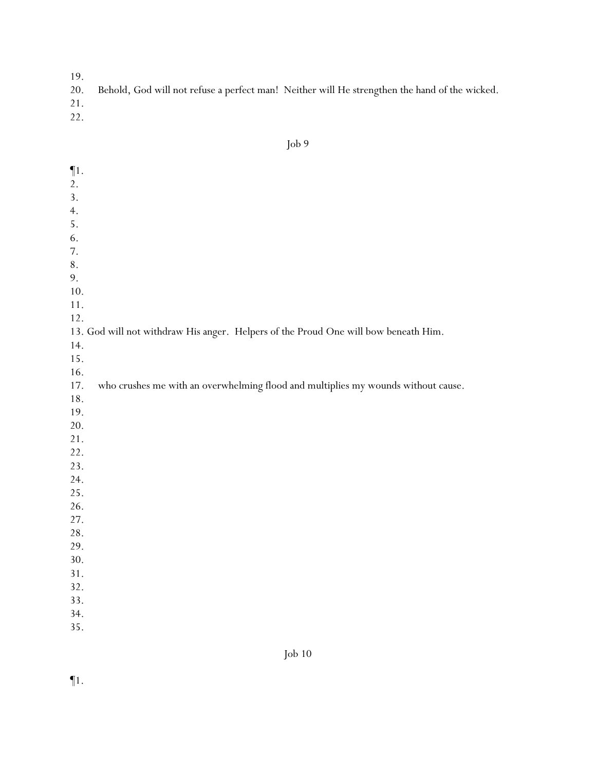- $19.20.$ Behold, God will not refuse a perfect man! Neither will He strengthen the hand of the wicked.
- 21.
- 22.

| $\P1.$    |                                                                                     |
|-----------|-------------------------------------------------------------------------------------|
| 2.        |                                                                                     |
| 3.        |                                                                                     |
| 4.        |                                                                                     |
| 5.        |                                                                                     |
| 6.        |                                                                                     |
| 7.        |                                                                                     |
| $\bf 8$ . |                                                                                     |
| 9.        |                                                                                     |
| 10.       |                                                                                     |
| 11.       |                                                                                     |
| 12.       |                                                                                     |
|           | 13. God will not withdraw His anger. Helpers of the Proud One will bow beneath Him. |
| 14.       |                                                                                     |
| 15.       |                                                                                     |
| 16.       |                                                                                     |
| 17.       | who crushes me with an overwhelming flood and multiplies my wounds without cause.   |
| 18.       |                                                                                     |
| 19.       |                                                                                     |
| 20.       |                                                                                     |
| 21.       |                                                                                     |
| 22.       |                                                                                     |
| 23.       |                                                                                     |
| 24.       |                                                                                     |
| 25.       |                                                                                     |
| 26.       |                                                                                     |
| 27.       |                                                                                     |
| 28.       |                                                                                     |
| 29.       |                                                                                     |
| 30.       |                                                                                     |
| 31.       |                                                                                     |
| 32.       |                                                                                     |
| 33.       |                                                                                     |
| 34.       |                                                                                     |
| 35.       |                                                                                     |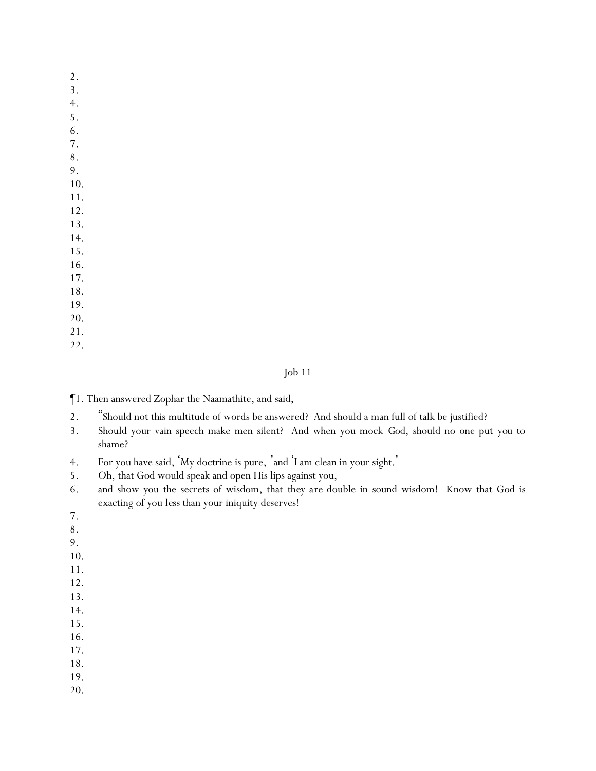- 2.
- 3.
- 4.
- 5.
- 6. 7.
- 8.
- 9.
- 10.
- 11.
- 12.
- 13.
- 14.
- 15.
- 16.
- 17. 18.
- 19.
- 20.
- 21.
- 22.

- ¶1. Then answered Zophar the Naamathite, and said,
- 2. "Should not this multitude of words be answered? And should a man full of talk be justified?
- 3. Should your vain speech make men silent? And when you mock *God*, should no one put *you* to shame?
- 4. For you have said, 'My doctrine is pure, 'and 'I am clean in your sight.'
- 5. Oh, that God would speak and open His lips against you,
- 6. and show you the secrets of wisdom, that *they are* double in sound wisdom! Know that God is exacting of you *less* than your iniquity *deserves*!
- 7.
- 8.
- 9.
- 10.
- 11.
- 12.
- 13.
- 14.
- 15.
- 16.
- 17.
- 18.
- 19. 20.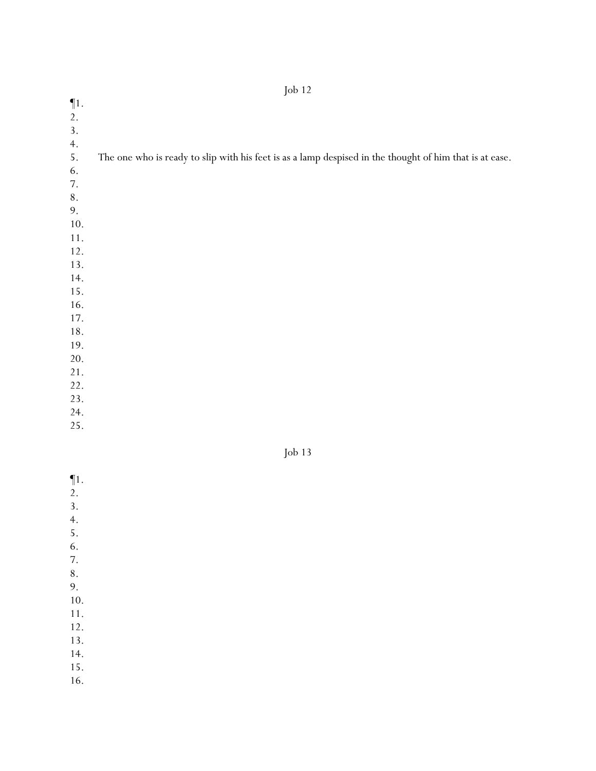| $\P1.$ |                                                                                                         |
|--------|---------------------------------------------------------------------------------------------------------|
| 2.     |                                                                                                         |
| 3.     |                                                                                                         |
| 4.     |                                                                                                         |
| 5.     | The one who is ready to slip with his feet is as a lamp despised in the thought of him that is at ease. |
| 6.     |                                                                                                         |
| 7.     |                                                                                                         |
| 8.     |                                                                                                         |
| 9.     |                                                                                                         |
| 10.    |                                                                                                         |
| 11.    |                                                                                                         |
| 12.    |                                                                                                         |
| 13.    |                                                                                                         |
| 14.    |                                                                                                         |
| 15.    |                                                                                                         |
| 16.    |                                                                                                         |
| 17.    |                                                                                                         |
| 18.    |                                                                                                         |

| nn |  |
|----|--|
|----|--|

- $\P1$ . 2. 3. 4. 5. 6. 7. 8. 9. 10. 11. 12. 13. 14.
- 15.
- 16.

19. 20. 21. 22. 23. 24. 25.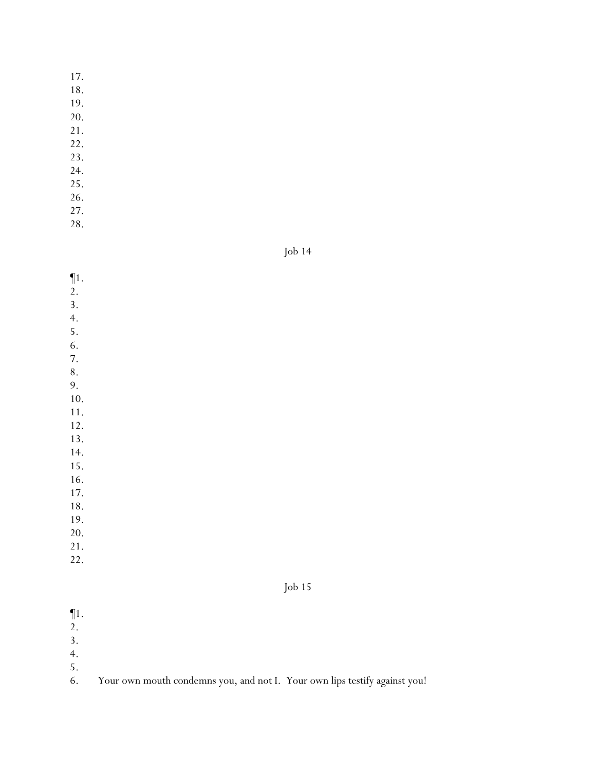18.

19.

- 20.
- 21.
- 22.
- 23.
- 24. 25.
- 26.
- 27.
- 28.

Job 14

- ¶1.
- 2.
- 3.
- 4.
- 5.
- 6. 7.
- 8.
- 9.

10.

- 11.
- 12.
- 13.
- 14. 15.
- 16.
- 17.
- 18.
- 19.
- 20.
- 21.
- 22.



¶1.

- 2.
- 3.
- 4.
- $\frac{5}{6}$ .

Your own mouth condemns you, and not I. Your own lips testify against you!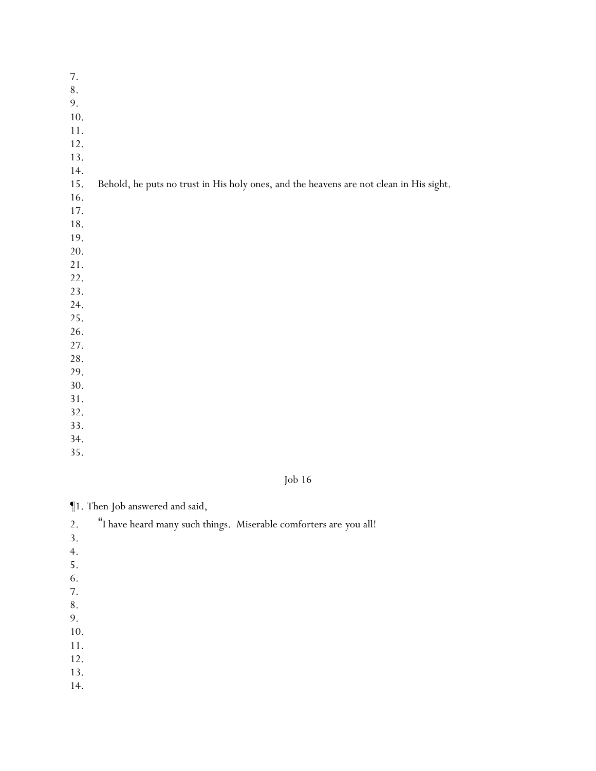| $7. \,$ |                                                                                        |
|---------|----------------------------------------------------------------------------------------|
| $8\,.$  |                                                                                        |
| 9.      |                                                                                        |
| 10.     |                                                                                        |
| $11.$   |                                                                                        |
| 12.     |                                                                                        |
| 13.     |                                                                                        |
| 14.     |                                                                                        |
| 15.     | Behold, he puts no trust in His holy ones, and the heavens are not clean in His sight. |
| 16.     |                                                                                        |
| 17.     |                                                                                        |
| 18.     |                                                                                        |
| 19.     |                                                                                        |
| 20.     |                                                                                        |
| 21.     |                                                                                        |
| 22.     |                                                                                        |
| 23.     |                                                                                        |
| 24.     |                                                                                        |
| 25.     |                                                                                        |
| 26.     |                                                                                        |
| 27.     |                                                                                        |
| 28.     |                                                                                        |
| 29.     |                                                                                        |
| 30.     |                                                                                        |
| 31.     |                                                                                        |
| 32.     |                                                                                        |
| 33.     |                                                                                        |
| 34.     |                                                                                        |

Job 16

¶1. Then Job answered and said,

| 2.  | "I have heard many such things. Miserable comforters are you all! |
|-----|-------------------------------------------------------------------|
| 3.  |                                                                   |
| 4.  |                                                                   |
| 5.  |                                                                   |
| 6.  |                                                                   |
| 7.  |                                                                   |
| 8.  |                                                                   |
| 9.  |                                                                   |
| 10. |                                                                   |
| 11. |                                                                   |
| 12. |                                                                   |
| 13. |                                                                   |
| 14. |                                                                   |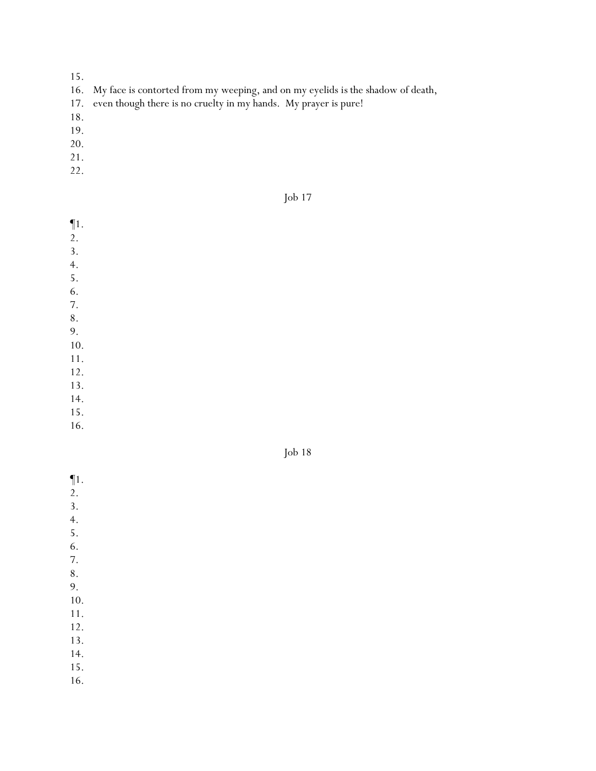- 15.
- 16. My face is contorted from my weeping, and on my eyelids *is* the shadow of death,
- 17. even though there is no cruelty in my hands. My prayer is pure!
- 18.
- 19.
- 20.
- 21.
- 22.

Job 17

¶1.

- 2.
- 3.
- 4. 5.
- 6.
- 7.
- 8.
- 9.
- 10.
- 11.
- 12.
- 13.
- 14.
- 15.
- 16.



- ¶1.
- 2.
- 3. 4.
- 5.
- 6.
- 7.
- 8.
- 9.
- 10.
- 11.
- 12.
- 13.
- 14.
- 15.
- 16.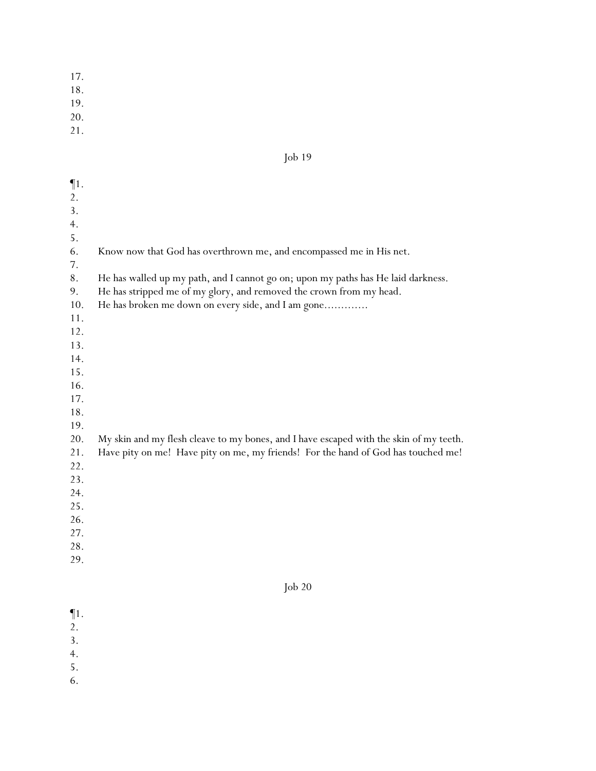18.

19.

20.

21.

2. 3. 4. 5. 6.

| $\P1.$<br>2.<br>3.<br>4.<br>5.<br>6.<br>7.<br>8.<br>9.<br>10.<br>11.<br>12.<br>13.<br>14.<br>15.<br>16.<br>17.<br>18. | Know now that God has overthrown me, and encompassed me in His net.<br>He has walled up my path, and I cannot go on; upon my paths has He laid darkness.<br>He has stripped me of my glory, and removed the crown from my head.<br>He has broken me down on every side, and I am gone |
|-----------------------------------------------------------------------------------------------------------------------|---------------------------------------------------------------------------------------------------------------------------------------------------------------------------------------------------------------------------------------------------------------------------------------|
| 19.<br>20.<br>21.<br>22.<br>23.<br>24.<br>25.<br>26.<br>27.<br>28.<br>29.                                             | My skin and my flesh cleave to my bones, and I have escaped with the skin of my teeth.<br>Have pity on me! Have pity on me, my friends! For the hand of God has touched me!                                                                                                           |
|                                                                                                                       | $\int$ ob 20                                                                                                                                                                                                                                                                          |
| $\P1$ .                                                                                                               |                                                                                                                                                                                                                                                                                       |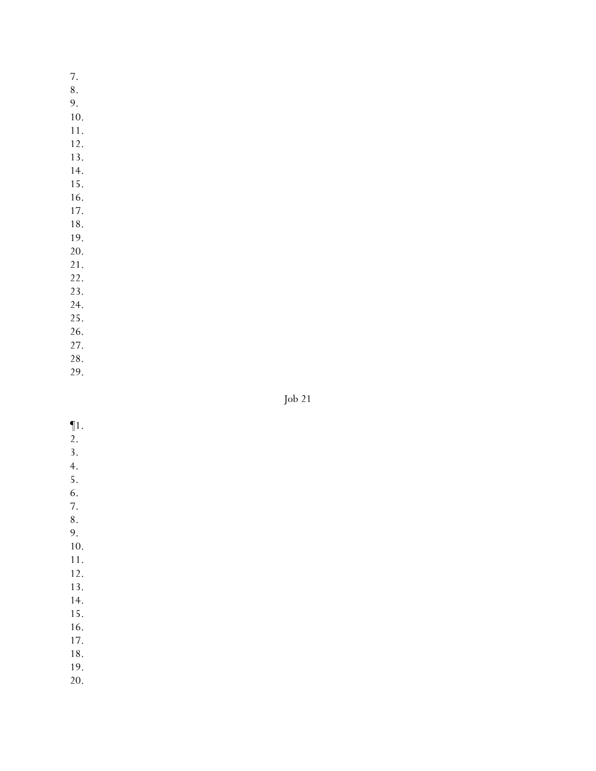7. 8. 9. 10. 11. 12. 13. 14.

- 15.
- 16. 17.
- 18.

19.

20.

21.

22.

23.

24.

25. 26.

27.

28.

29.

| $\P1.$           |  |  |  |
|------------------|--|--|--|
| 2.               |  |  |  |
| $\overline{3}$ . |  |  |  |
| $\overline{4}$ . |  |  |  |
| 5.               |  |  |  |
| 6.               |  |  |  |
| 7.               |  |  |  |
| 8.               |  |  |  |
| 9.               |  |  |  |
| 10.              |  |  |  |
| 11.              |  |  |  |
| 12.              |  |  |  |
| 13.              |  |  |  |
| 14.              |  |  |  |
| 15.              |  |  |  |
| 16.              |  |  |  |
| 17.              |  |  |  |
| 18.              |  |  |  |
| 19.              |  |  |  |
|                  |  |  |  |

20.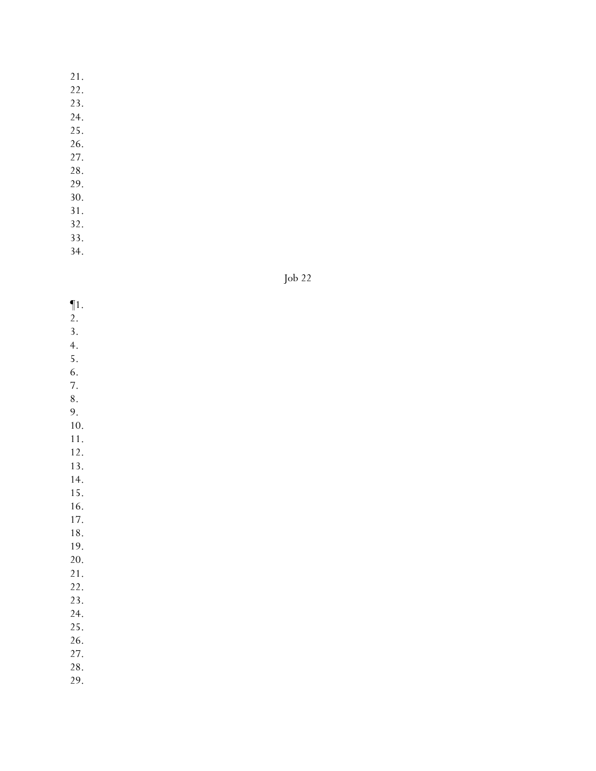22.

23.

24.

- 25.
- 26.
- 27.
- 28.
- 29.
- 30. 31.
- 32.

33.

34.



- ¶1.
- 2.
- 3.
- 4. 5.
- 6.
- 7.

8.

9. 10.

11.

- 12.
- 13.

14.

15.

16.

17. 18.

19.

- 20.
- 21.
- 22.
- 23.
- 24.
- 25. 26.
- 27.
- 28.
- 29.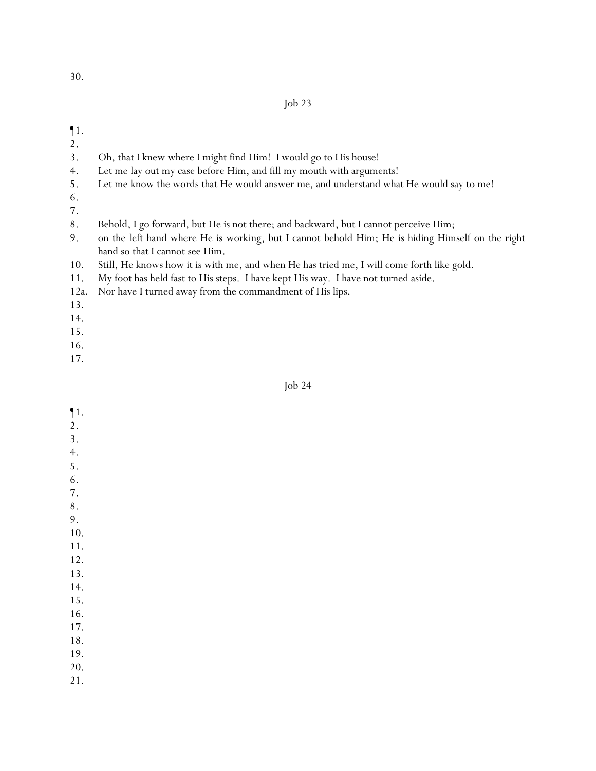### ¶1.

- 2.
- 3. Oh, that I knew where I might find Him! I would go to His house!
- 4. Let me lay out my case before Him, and fill my mouth with arguments!
- 5. Let me know the words that He would answer me, and understand what He would say to me!
- 6.
- 7.
- 8. Behold, I go forward, but He is not there; and backward, but I cannot perceive Him;
- 9. on the left hand where He is working, but I cannot behold Him; He is hiding Himself on the right hand so that I cannot see Him.
- 10. Still, He knows how it is with me, and when He has tried me, I will come forth like gold.
- 11. My foot has held fast to His steps. I have kept His way. I have not turned aside.
- 12a. Nor have I turned away from the commandment of His lips.
- 13.
- 14.
- 15.
- 16.
- 17.

- ¶1.
- 2.
- 3.
- 4.
- 5. 6.
- 7.
- 8.
- 9.
- 10.
- 11.
- 12.
- 13.
- 14.
- 15.
- 16. 17.
- 18.
- 19.
- 20.
- 21.
-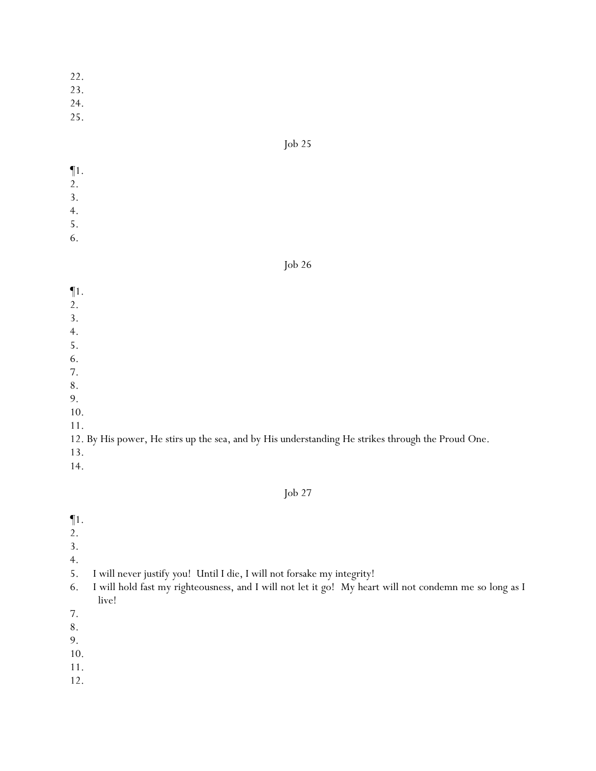23.

24.

25.

### Job 25

- ¶1. 2.
- 3.
- 4.
- 5.
- 6.

# Job 26

- ¶1.
- 2.
- 3.
- 4.
- 5.
- 6.
- 7.
- 8.
- 9.
- 10.
- 11.

12. By His power, He stirs up the sea, and by His understanding He strikes through the Proud One.

- 13.
- 14.

- $\P1$ .
- 2.
- 
- 3.
- 4.
- 5. I will never justify *y*ou! Until I die, I will not forsake my integrity!
- 6. I will hold fast my righteousness, and I will not let it go! My heart will not condemn me so long as I live!
- 7.
- 8.
- 9.
- 10.
- 11.
- 12.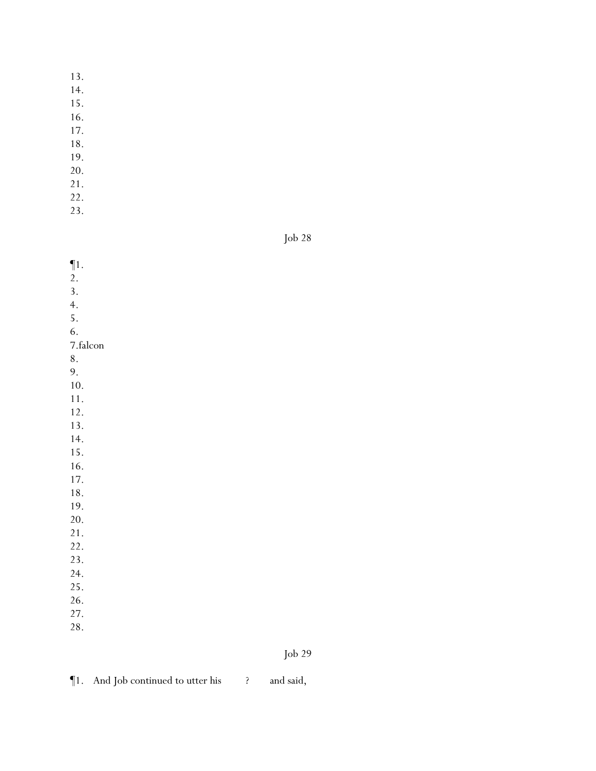- 13.
- 14.
- 15.
- 16.
- 17.
- 18.
- 19.
- 20. 21.
- 22.
- 23.

Job 28

¶1. 2. 3. 4. 5. 6. 7.falcon 8. 9. 10. 11. 12. 13. 14. 15. 16. 17. 18. 19. 20. 21. 22. 23. 24. 25. 26. 27. 28.

```
¶1. And Job continued to utter his ? and said,
```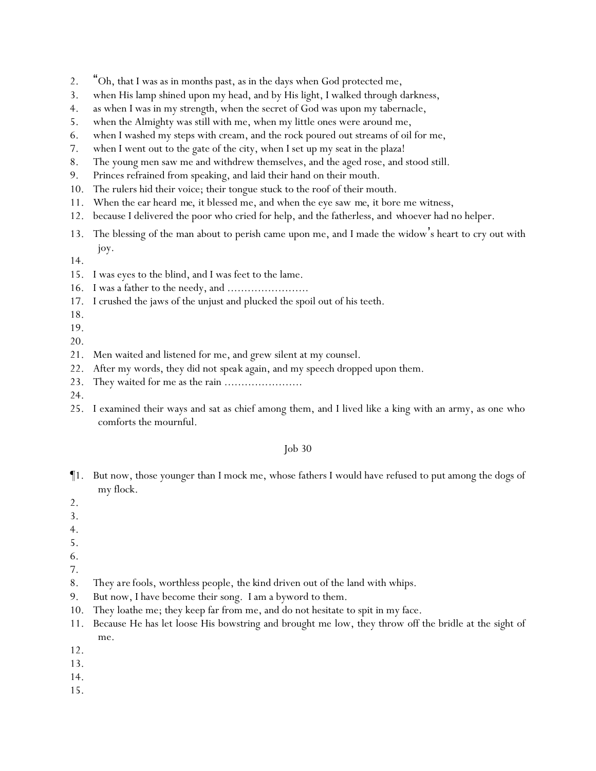- 2. "Oh, that I was as in months past, as in the days when God protected me,
- 3. when His lamp shined upon my head, and by His light, I walked through darkness,
- 4. as when I was in my strength, when the secret of God was upon my tabernacle,
- 5. when the Almighty was still with me, when my little ones were around me,
- 6. when I washed my steps with cream, and the rock poured out streams of oil for me,
- 7. when I went out to the gate of the city, when I set up my seat in the plaza!
- 8. The young men saw me and withdrew themselves, and the aged rose, and stood still.
- 9. Princes refrained from speaking, and laid their hand on their mouth.
- 10. The rulers hid their voice; their tongue stuck to the roof of their mouth.
- 11. When the ear heard *me*, it blessed me, and when the eye saw *me*, it bore me witness,
- 12. because I delivered the poor who cried for help, and the fatherless, and *whoever had* no helper.
- 13. The blessing of the man about to perish came upon me, and I made the widow's heart to cry out with joy.
- 14.
- 15. I was eyes to the blind, and I was feet to the lame.
- 16. I was a father to the needy, and ........................
- 17. I crushed the jaws of the unjust and plucked the spoil out of his teeth.
- 18.
- 19.
- 20.
- 21. Men waited and listened for me, and grew silent at my counsel.
- 22. After my words, they did not *speak* again, and my speech dropped upon them.
- 23. They waited for me as the rain .......................
- 24.
- 25. I examined their ways and sat as chief among them, and I lived like a king with an army, as one who comforts the mournful.

- ¶1. But now, those younger than I mock me, whose fathers I would have refused to put among the dogs of my flock.
- 2.
- 3.
- 4.
- 5.
- 6.
- 7.
- 8. *They are* fools, worthless people, *the kind* driven out of the land with whips.
- 9. But now, I have become their song. I am a byword to them.
- 10. They loathe me; they keep far from me, and do not hesitate to spit in my face.
- 11. Because He has let loose His bowstring and brought me low, they throw off the bridle at the sight of me.
- 12.
- 13.
- 14.
- 15.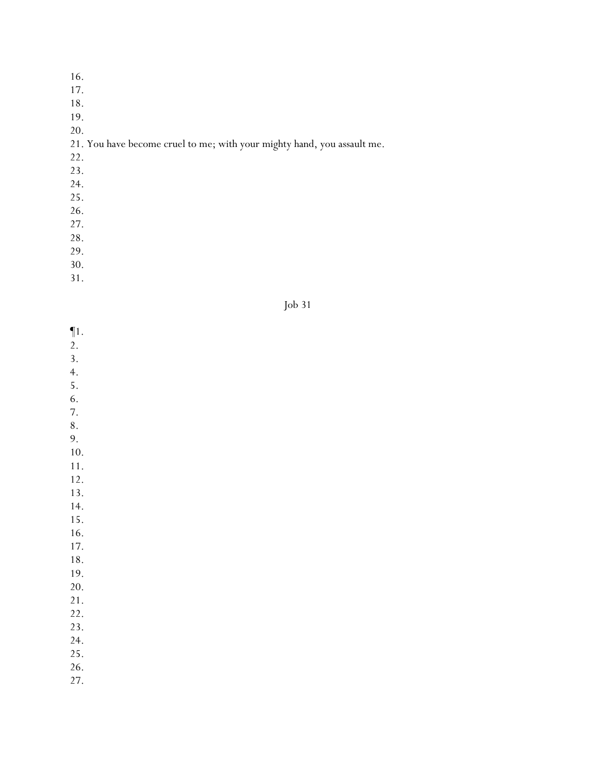- 17.
- 18.
- 19.
- 20.

# 21. You have become cruel to me; with your mighty hand, you assault me.

- 22.
- 23.
- 24.
- 25.
- 26.
- 27.
- 28.
- 29.
- 30.
- 31.



- $\P1$ .
- $\overline{2}$ .
- 3.
- 4.
- 5. 6.
- 7.
- 8.
- 9.
- 10.
- 11.
- 12.
- 13.
- 14. 15.
- 16.
- 17.
- 18.
- 19.
- 20.
- 21.
- 22. 23.
- 24.
- 25.
- 26.
- 27.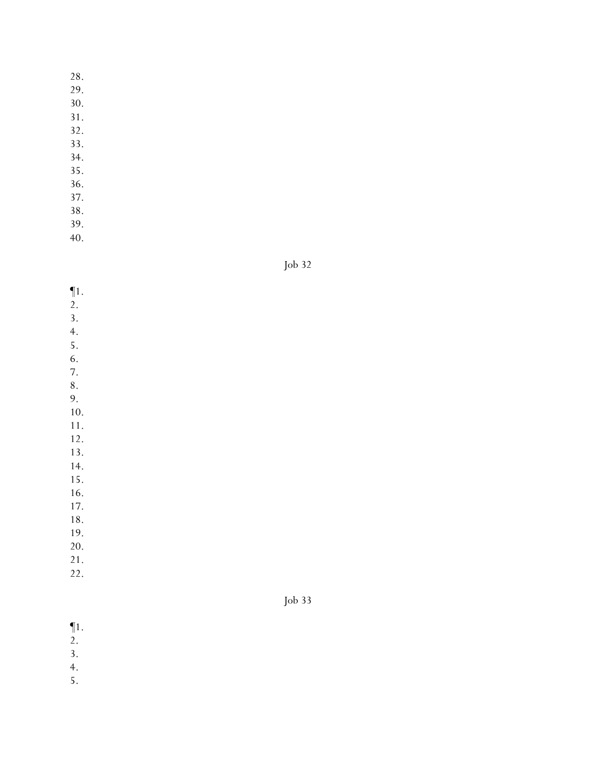29.

30.

- 31.
- 32.
- 33. 34.
- 35.
- 36.
- 37.
- 38.
- 39.
- 40.

Job 32

- $\P$ 1. 2. 3. 4. 5. 6. 7. 8. 9. 10. 11. 12. 13. 14. 15. 16. 17. 18. 19. 20.
- 21.
- 22.

- $\P1$ .
- $\overline{2}$ .
- 3.
- 4.
- 5.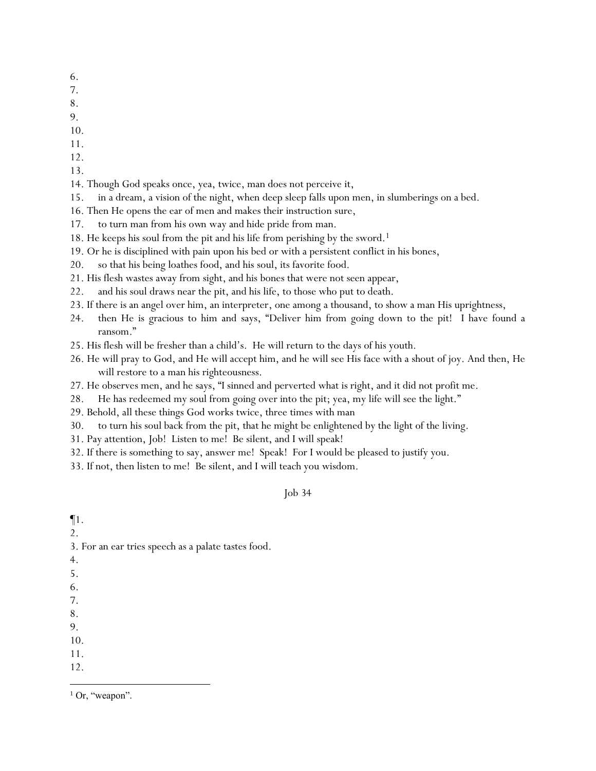- 6.
- 7.
- 8.
- 9.
- 10.
- 11.
- 12.
- 13.
- 14. Though God speaks once, yea, twice, man does not perceive it,
- 15. in a dream, a vision of the night, when deep sleep falls upon men, in slumberings on a bed.
- 16. Then He opens the ear of men and makes their instruction sure,
- 17. to turn man from *his own* way and hide pride from man.
- 18. He keeps his soul from the pit and his life from perishing by the sword.<sup>1</sup>
- 19. Or he is disciplined with pain upon his bed or with a persistent conflict in his bones,
- 20. so that his being loathes food, and his soul, its favorite food.
- 21. His flesh wastes away from sight, and his bones that were not seen appear,
- 22. and his soul draws near the pit, and his life, to those who put to death.
- 23. If there is an angel over him, an interpreter, one among a thousand, to show a man His uprightness,
- 24. then He is gracious to him and says, "Deliver him from going down to the pit! I have found a ransom."
- 25. His flesh will be fresher than a child's. He will return to the days of his youth.
- 26. He will pray to God, and He will accept him, and he will see His face with a shout of joy. And then, He will restore to a man his righteousness.
- 27. He observes men, and he says, "I sinned and perverted what is right, and it did not profit me.
- 28. He has redeemed my soul from going over into the pit; yea, my life will see the light."
- 29. Behold, all these things God works twice, three times with man
- 30. to turn his soul back from the pit, that he might be enlightened by the light of the living.
- 31. Pay attention, Job! Listen to me! Be silent, and I will speak!
- 32. If there is something to say, answer me! Speak! For I would be pleased to justify you.
- 33. If not, then listen to me! Be silent, and I will teach you wisdom.

¶1. 2. 3. For an ear tries speech as a palate tastes food. 4. 5. 6. 7. 8. 9. 10. 11. 12.

 $1$  Or, "weapon".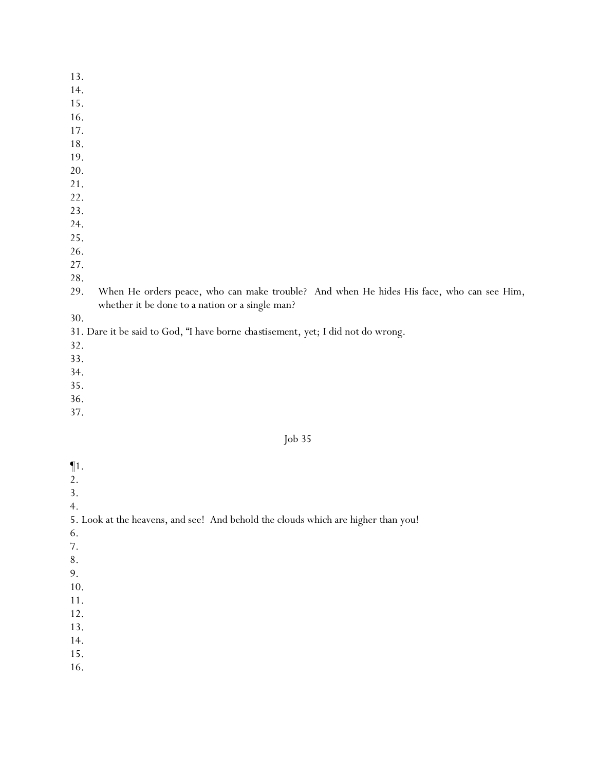- 13.
- 14.
- 15.
- 16.
- 17.
- 18.
- 19.
- 20.
- 21.
- 22. 23.
- 24.
- 25.
- 26.
- 27.
- 28.
- 29. When He orders peace, who can make trouble? And when He hides His face, who can see Him, whether it *be done to* a nation or a single man?
- 30.

# 31. Dare it be said to God, "I have borne *chastisement, yet*; I did not do wrong.

- 32.
- 33.
- 34.
- 35.
- 36.
- 37.

### Job 35

- ¶1.
- 2.
- 3.
- 4.

### 5. Look at the heavens, and see! And behold the clouds which are higher than you!

- 6.
- 7.
- 8.
- 9.
- 10.
- 11.
- 12. 13.
- 14.
- 15.
- 16.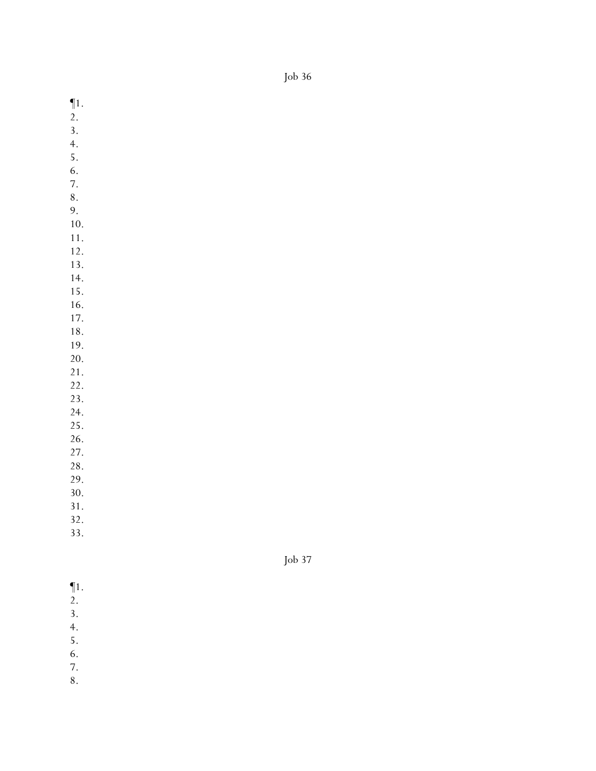$\P1$ .

- 2.
- 3.
- 4.
- 5.
- 6.
- 7.
- 8.
- 9. 10.
- 11.
- 12.
- 13.
- 14.
- 15.
- 16.
- 17.
- 18. 19.
- 20.
- 21.
- 22.
- 23.
- 24.
- 25.
- 26. 27.
- 28.
- 29.
- 30.
- 31.
- 32.
- 33.

- ¶1.
- 2.
- 3. 4.
- 5.
- 6.
- 7.
- 8.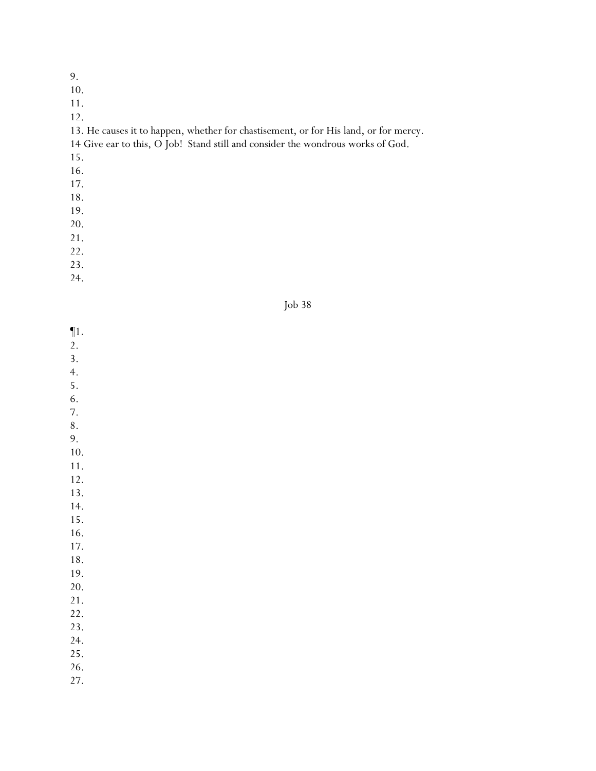10.

11.

12.

13. He causes it to happen, whether for chastisement, or for His land, or for mercy.

14 Give ear to this, O Job! Stand still and consider the wondrous works of God.

15.

- 16.
- 17.
- 18.
- 19.
- 20.
- 21.
- 22.
- 23.

24.



¶1.

- 2.
- 3.
- 4.
- 5.
- 6. 7.
- 8.
- 9.
- 10.
- 11.
- 12.
- 13. 14.
- 15.
- 16.
- 17.
- 18.
- 19.
- 20.
- 21.
- 22. 23.
- 
- 24. 25.
- 26.
- 
- 27.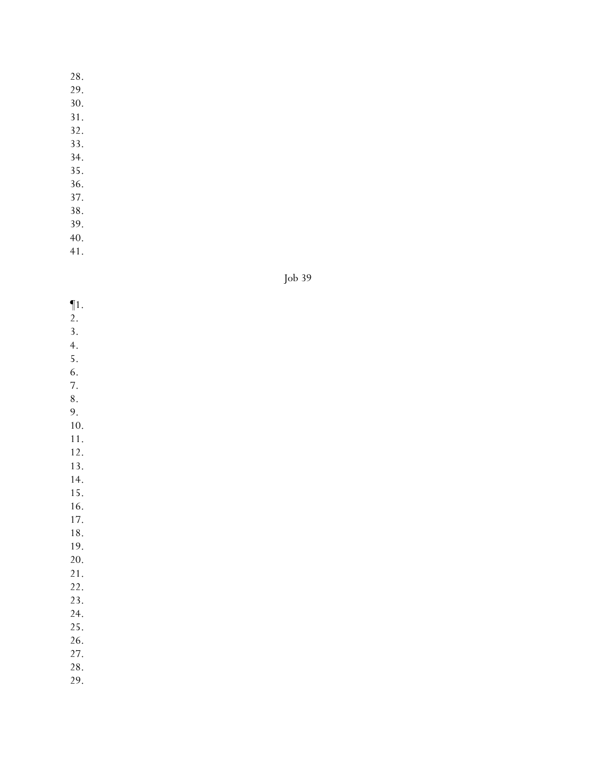29.

30.

- 31.
- 32.
- 33. 34.
- 
- 35. 36.
- 37.
- 38.
- 39.
- 40.
- 41.

Job 39

- ¶1.
- 2.
- 3.
- 4. 5.
- 6.
- 7.

8.

9. 10.

11.

12.

13.

14.

15.

16. 17.

18.

19.

20.

21.

22.

23.

24.

25.

26.

27.

28.

29.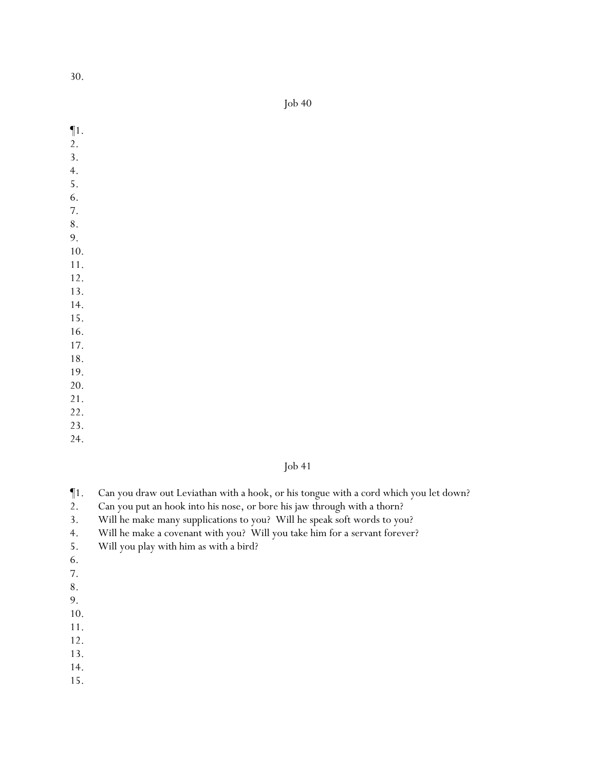Job 40

- ¶1.
- 2.
- 3.
- 4.
- 5.
- 6. 7.
- 8.
- 9.
- 10.
- 11.
- 12.
- 13.
- 14.
- 15.
- 16.
- 17.
- 18. 19.
- 20.
- 21.
- 22.
- 23.
- 24.

- ¶1. Can you draw out Leviathan with a hook, or his tongue with a cord which you let down?
- 2. Can you put an hook into his nose, or bore his jaw through with a thorn?
- 3. Will he make many supplications to you? Will he speak soft words to you?
- 4. Will he make a covenant with you? Will you take him for a servant forever?
- 5. Will you play with him as with a bird?
- 6.
- 7.
- 8.
- 9.
- 10.
- 11.
- 12.
- 13.
- 14.
- 15.